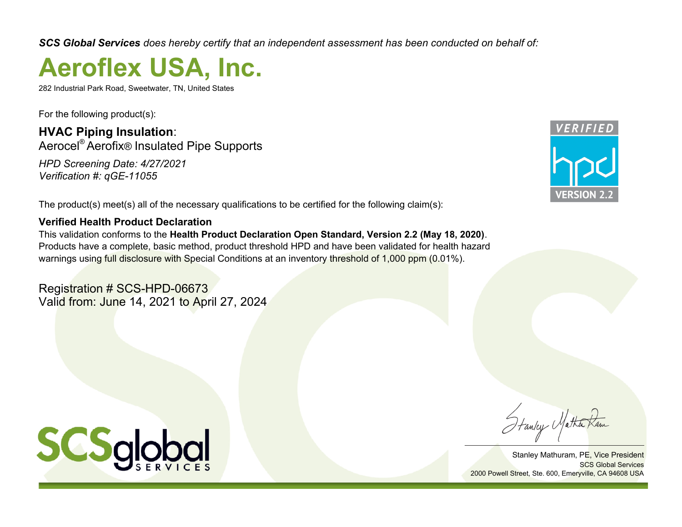*SCS Global Services does hereby certify that an independent assessment has been conducted on behalf of:*

# **Aeroflex USA, Inc.**

282 Industrial Park Road, Sweetwater, TN, United States

For the following product(s):

**HVAC Piping Insulation**: Aerocel® Aerofix**®** Insulated Pipe Supports *HPD Screening Date: 4/27/2021 Verification #: qGE-11055*

The product(s) meet(s) all of the necessary qualifications to be certified for the following claim(s):

# **Verified Health Product Declaration**

This validation conforms to the **Health Product Declaration Open Standard, Version 2.2 (May 18, 2020)**. Products have a complete, basic method, product threshold HPD and have been validated for health hazard warnings using full disclosure with Special Conditions at an inventory threshold of 1,000 ppm (0.01%).

Registration # SCS-HPD-06673 Valid from: June 14, 2021 to April 27, 2024



Stanley Matha

Stanley Mathuram, PE, Vice President SCS Global Services 2000 Powell Street, Ste. 600, Emeryville, CA 94608 USA

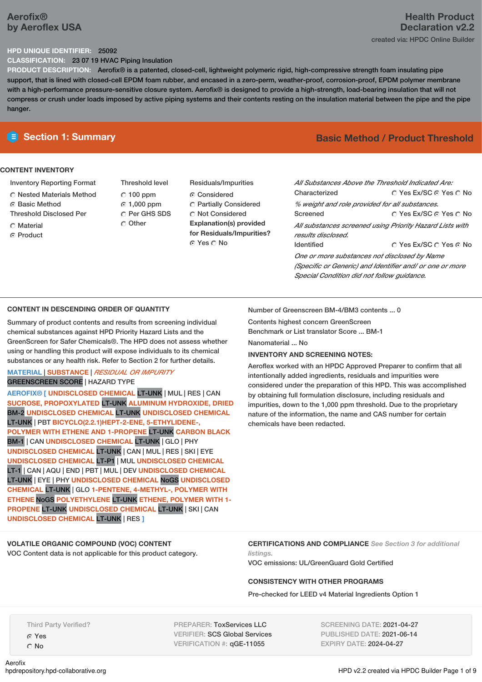# **Aerofix® by Aeroflex USA**

# **Health Product Declaration v2.2** created via: HPDC Online Builder

#### **HPD UNIQUE IDENTIFIER:** 25092

**CLASSIFICATION:** 23 07 19 HVAC Piping Insulation

**PRODUCT DESCRIPTION:** Aerofix® is a patented, closed-cell, lightweight polymeric rigid, high-compressive strength foam insulating pipe support, that is lined with closed-cell EPDM foam rubber, and encased in a zero-perm, weather-proof, corrosion-proof, EPDM polymer membrane with a high-performance pressure-sensitive closure system. Aerofix® is designed to provide a high-strength, load-bearing insulation that will not compress or crush under loads imposed by active piping systems and their contents resting on the insulation material between the pipe and the pipe hanger.

### **CONTENT INVENTORY**

- Inventory Reporting Format
- Nested Materials Method
- **G** Basic Method
- Threshold Disclosed Per
- **C** Material
- **C** Product
- Threshold level  $C$  100 ppm 1,000 ppm C Per GHS SDS Other
- Residuals/Impurities Considered Partially Considered  $\bigcirc$  Not Considered **Explanation(s) provided for Residuals/Impurities?** ⊙ Yes O No

# **E** Section 1: Summary **Basic Method / Product Threshold**

| All Substances Above the Threshold Indicated Are:        |                        |  |  |  |
|----------------------------------------------------------|------------------------|--|--|--|
| Characterized                                            | ∩ Yes Ex/SC ⊙ Yes ∩ No |  |  |  |
| % weight and role provided for all substances.           |                        |  |  |  |
| Screened                                                 | ○ Yes Ex/SC ⊙ Yes ○ No |  |  |  |
| All substances screened using Priority Hazard Lists with |                        |  |  |  |
| results disclosed.                                       |                        |  |  |  |
| <b>Identified</b>                                        | ∩ Yes Ex/SC ∩ Yes ∩ No |  |  |  |
| One or more substances not disclosed by Name             |                        |  |  |  |
| (Specific or Generic) and Identifier and/ or one or more |                        |  |  |  |
| Special Condition did not follow quidance.               |                        |  |  |  |

# **CONTENT IN DESCENDING ORDER OF QUANTITY**

Summary of product contents and results from screening individual chemical substances against HPD Priority Hazard Lists and the GreenScreen for Safer Chemicals®. The HPD does not assess whether using or handling this product will expose individuals to its chemical substances or any health risk. Refer to Section 2 for further details.

# **MATERIAL** | **SUBSTANCE** | *RESIDUAL OR IMPURITY* GREENSCREEN SCORE | HAZARD TYPE

**AEROFIX® [ UNDISCLOSED CHEMICAL** LT-UNK | MUL | RES | CAN **SUCROSE, PROPOXYLATED** LT-UNK **ALUMINUM HYDROXIDE, DRIED** BM-2 **UNDISCLOSED CHEMICAL** LT-UNK **UNDISCLOSED CHEMICAL** LT-UNK | PBT **BICYCLO(2.2.1)HEPT-2-ENE, 5-ETHYLIDENE-, POLYMER WITH ETHENE AND 1-PROPENE** LT-UNK **CARBON BLACK** BM-1 | CAN **UNDISCLOSED CHEMICAL** LT-UNK | GLO | PHY **UNDISCLOSED CHEMICAL** LT-UNK | CAN | MUL | RES | SKI | EYE **UNDISCLOSED CHEMICAL** LT-P1 | MUL **UNDISCLOSED CHEMICAL** LT-1 | CAN | AQU | END | PBT | MUL | DEV **UNDISCLOSED CHEMICAL** LT-UNK | EYE | PHY **UNDISCLOSED CHEMICAL** NoGS **UNDISCLOSED CHEMICAL** LT-UNK | GLO **1-PENTENE, 4-METHYL-, POLYMER WITH ETHENE** NoGS **POLYETHYLENE** LT-UNK **ETHENE, POLYMER WITH 1- PROPENE** LT-UNK **UNDISCLOSED CHEMICAL** LT-UNK | SKI | CAN **UNDISCLOSED CHEMICAL** LT-UNK | RES **]**

Number of Greenscreen BM-4/BM3 contents ... 0

Contents highest concern GreenScreen

Benchmark or List translator Score ... BM-1

Nanomaterial ... No

#### **INVENTORY AND SCREENING NOTES:**

Aeroflex worked with an HPDC Approved Preparer to confirm that all intentionally added ingredients, residuals and impurities were considered under the preparation of this HPD. This was accomplished by obtaining full formulation disclosure, including residuals and impurities, down to the 1,000 ppm threshold. Due to the proprietary nature of the information, the name and CAS number for certain chemicals have been redacted.

# **VOLATILE ORGANIC COMPOUND (VOC) CONTENT**

VOC Content data is not applicable for this product category.

**CERTIFICATIONS AND COMPLIANCE** *See Section 3 for additional listings.*

VOC emissions: UL/GreenGuard Gold Certified

# **CONSISTENCY WITH OTHER PROGRAMS**

Pre-checked for LEED v4 Material Ingredients Option 1

Third Party Verified?

Yes C<sub>No</sub>

Aerofix<br>hodrepository.hpd-collaborative.org

PREPARER: ToxServices LLC VERIFIER: SCS Global Services VERIFICATION #: qGE-11055

SCREENING DATE: 2021-04-27 PUBLISHED DATE: 2021-06-14 EXPIRY DATE: 2024-04-27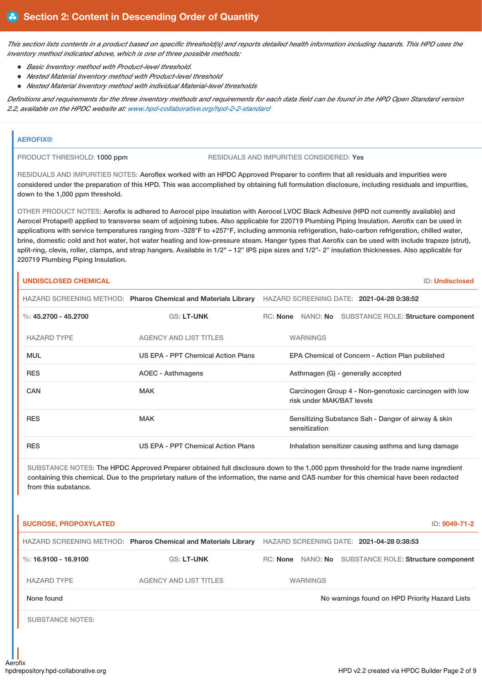This section lists contents in a product based on specific threshold(s) and reports detailed health information including hazards. This HPD uses the *inventory method indicated above, which is one of three possible methods:*

- *Basic Inventory method with Product-level threshold.*
- *Nested Material Inventory method with Product-level threshold*
- *Nested Material Inventory method with individual Material-level thresholds*

Definitions and requirements for the three inventory methods and requirements for each data field can be found in the HPD Open Standard version *2.2, available on the HPDC website at: www.hpd-collaborative.org/hpd-2-2-standard*

# **AEROFIX®**

PRODUCT THRESHOLD: 1000 ppm RESIDUALS AND IMPURITIES CONSIDERED: Yes

RESIDUALS AND IMPURITIES NOTES: Aeroflex worked with an HPDC Approved Preparer to confirm that all residuals and impurities were considered under the preparation of this HPD. This was accomplished by obtaining full formulation disclosure, including residuals and impurities, down to the 1,000 ppm threshold.

OTHER PRODUCT NOTES: Aerofix is adhered to Aerocel pipe insulation with Aerocel LVOC Black Adhesive (HPD not currently available) and Aerocel Protape® applied to transverse seam of adjoining tubes. Also applicable for 220719 Plumbing Piping Insulation. Aerofix can be used in applications with service temperatures ranging from -328°F to +257°F, including ammonia refrigeration, halo-carbon refrigeration, chilled water, brine, domestic cold and hot water, hot water heating and low-pressure steam. Hanger types that Aerofix can be used with include trapeze (strut), split-ring, clevis, roller, clamps, and strap hangers. Available in 1/2" – 12" IPS pipe sizes and 1/2"- 2" insulation thicknesses. Also applicable for 220719 Plumbing Piping Insulation.

# **UNDISCLOSED CHEMICAL** ID: **Undisclosed**

|                        | HAZARD SCREENING METHOD: Pharos Chemical and Materials Library | HAZARD SCREENING DATE: 2021-04-28 0:38:52                                           |
|------------------------|----------------------------------------------------------------|-------------------------------------------------------------------------------------|
| %: $45.2700 - 45.2700$ | <b>GS: LT-UNK</b>                                              | RC: None<br>NANO: No SUBSTANCE ROLE: Structure component                            |
| <b>HAZARD TYPE</b>     | <b>AGENCY AND LIST TITLES</b>                                  | <b>WARNINGS</b>                                                                     |
| <b>MUL</b>             | US EPA - PPT Chemical Action Plans                             | EPA Chemical of Concern - Action Plan published                                     |
| <b>RES</b>             | AOEC - Asthmagens                                              | Asthmagen (G) - generally accepted                                                  |
| CAN                    | <b>MAK</b>                                                     | Carcinogen Group 4 - Non-genotoxic carcinogen with low<br>risk under MAK/BAT levels |
| <b>RES</b>             | <b>MAK</b>                                                     | Sensitizing Substance Sah - Danger of airway & skin<br>sensitization                |
| <b>RES</b>             | US EPA - PPT Chemical Action Plans                             | Inhalation sensitizer causing asthma and lung damage                                |

| <b>SUCROSE, PROPOXYLATED</b> |                                                                |                 | ID: 9049-71-2                                         |
|------------------------------|----------------------------------------------------------------|-----------------|-------------------------------------------------------|
|                              | HAZARD SCREENING METHOD: Pharos Chemical and Materials Library |                 | HAZARD SCREENING DATE: 2021-04-28 0:38:53             |
| $\%$ : 16.9100 - 16.9100     | <b>GS: LT-UNK</b>                                              |                 | RC: None NANO: No SUBSTANCE ROLE: Structure component |
| <b>HAZARD TYPE</b>           | <b>AGENCY AND LIST TITLES</b>                                  | <b>WARNINGS</b> |                                                       |
| None found                   |                                                                |                 | No warnings found on HPD Priority Hazard Lists        |
| <b>SUBSTANCE NOTES:</b>      |                                                                |                 |                                                       |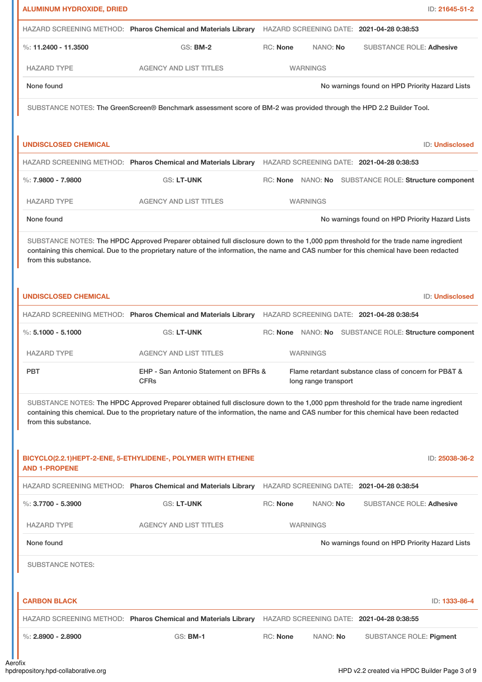| <b>ALUMINUM HYDROXIDE, DRIED</b> |                                                                                                                                                                                                                                                                                |                                                                               | ID: 21645-51-2                                 |
|----------------------------------|--------------------------------------------------------------------------------------------------------------------------------------------------------------------------------------------------------------------------------------------------------------------------------|-------------------------------------------------------------------------------|------------------------------------------------|
|                                  | HAZARD SCREENING METHOD: Pharos Chemical and Materials Library                                                                                                                                                                                                                 | HAZARD SCREENING DATE: 2021-04-28 0:38:53                                     |                                                |
| %: $11.2400 - 11.3500$           | GS: BM-2                                                                                                                                                                                                                                                                       | <b>RC: None</b><br>NANO: No                                                   | <b>SUBSTANCE ROLE: Adhesive</b>                |
| <b>HAZARD TYPE</b>               | <b>AGENCY AND LIST TITLES</b>                                                                                                                                                                                                                                                  | <b>WARNINGS</b>                                                               |                                                |
| None found                       |                                                                                                                                                                                                                                                                                |                                                                               | No warnings found on HPD Priority Hazard Lists |
|                                  | SUBSTANCE NOTES: The GreenScreen® Benchmark assessment score of BM-2 was provided through the HPD 2.2 Builder Tool.                                                                                                                                                            |                                                                               |                                                |
|                                  |                                                                                                                                                                                                                                                                                |                                                                               |                                                |
| <b>UNDISCLOSED CHEMICAL</b>      |                                                                                                                                                                                                                                                                                |                                                                               | <b>ID: Undisclosed</b>                         |
|                                  | HAZARD SCREENING METHOD: Pharos Chemical and Materials Library                                                                                                                                                                                                                 | HAZARD SCREENING DATE: 2021-04-28 0:38:53                                     |                                                |
| $\%$ : 7.9800 - 7.9800           | <b>GS: LT-UNK</b>                                                                                                                                                                                                                                                              | RC: None NANO: No SUBSTANCE ROLE: Structure component                         |                                                |
| <b>HAZARD TYPE</b>               | <b>AGENCY AND LIST TITLES</b>                                                                                                                                                                                                                                                  | <b>WARNINGS</b>                                                               |                                                |
| None found                       |                                                                                                                                                                                                                                                                                |                                                                               | No warnings found on HPD Priority Hazard Lists |
| from this substance.             | SUBSTANCE NOTES: The HPDC Approved Preparer obtained full disclosure down to the 1,000 ppm threshold for the trade name ingredient<br>containing this chemical. Due to the proprietary nature of the information, the name and CAS number for this chemical have been redacted |                                                                               |                                                |
| <b>UNDISCLOSED CHEMICAL</b>      |                                                                                                                                                                                                                                                                                |                                                                               | <b>ID: Undisclosed</b>                         |
|                                  | HAZARD SCREENING METHOD: Pharos Chemical and Materials Library                                                                                                                                                                                                                 | HAZARD SCREENING DATE: 2021-04-28 0:38:54                                     |                                                |
| %: $5.1000 - 5.1000$             | GS: LT-UNK                                                                                                                                                                                                                                                                     | RC: None NANO: No SUBSTANCE ROLE: Structure component                         |                                                |
| <b>HAZARD TYPE</b>               | <b>AGENCY AND LIST TITLES</b>                                                                                                                                                                                                                                                  | <b>WARNINGS</b>                                                               |                                                |
| <b>PBT</b>                       | EHP - San Antonio Statement on BFRs &<br><b>CFRs</b>                                                                                                                                                                                                                           | Flame retardant substance class of concern for PB&T &<br>long range transport |                                                |
| from this substance.             | SUBSTANCE NOTES: The HPDC Approved Preparer obtained full disclosure down to the 1,000 ppm threshold for the trade name ingredient<br>containing this chemical. Due to the proprietary nature of the information, the name and CAS number for this chemical have been redacted |                                                                               |                                                |
| <b>AND 1-PROPENE</b>             | BICYCLO(2.2.1)HEPT-2-ENE, 5-ETHYLIDENE-, POLYMER WITH ETHENE                                                                                                                                                                                                                   |                                                                               | ID: 25038-36-2                                 |
|                                  | HAZARD SCREENING METHOD: Pharos Chemical and Materials Library                                                                                                                                                                                                                 | HAZARD SCREENING DATE: 2021-04-28 0:38:54                                     |                                                |
| %: $3.7700 - 5.3900$             | GS: LT-UNK                                                                                                                                                                                                                                                                     | <b>RC: None</b><br>NANO: No                                                   | <b>SUBSTANCE ROLE: Adhesive</b>                |
| <b>HAZARD TYPE</b>               | <b>AGENCY AND LIST TITLES</b>                                                                                                                                                                                                                                                  | <b>WARNINGS</b>                                                               |                                                |
| None found                       |                                                                                                                                                                                                                                                                                |                                                                               | No warnings found on HPD Priority Hazard Lists |
| <b>SUBSTANCE NOTES:</b>          |                                                                                                                                                                                                                                                                                |                                                                               |                                                |
| <b>CARBON BLACK</b>              |                                                                                                                                                                                                                                                                                |                                                                               | ID: 1333-86-4                                  |
|                                  | HAZARD SCREENING METHOD: Pharos Chemical and Materials Library                                                                                                                                                                                                                 | HAZARD SCREENING DATE: 2021-04-28 0:38:55                                     |                                                |
| %: $2.8900 - 2.8900$             | <b>GS: BM-1</b>                                                                                                                                                                                                                                                                | <b>RC: None</b><br>NANO: No                                                   | <b>SUBSTANCE ROLE: Pigment</b>                 |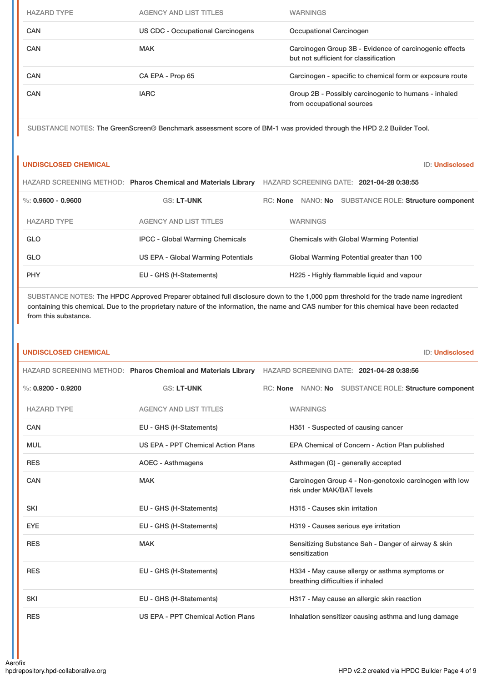| <b>HAZARD TYPE</b> | <b>AGENCY AND LIST TITLES</b>     | <b>WARNINGS</b>                                                                                 |
|--------------------|-----------------------------------|-------------------------------------------------------------------------------------------------|
| CAN                | US CDC - Occupational Carcinogens | Occupational Carcinogen                                                                         |
| CAN                | <b>MAK</b>                        | Carcinogen Group 3B - Evidence of carcinogenic effects<br>but not sufficient for classification |
| CAN                | CA EPA - Prop 65                  | Carcinogen - specific to chemical form or exposure route                                        |
| CAN                | <b>IARC</b>                       | Group 2B - Possibly carcinogenic to humans - inhaled<br>from occupational sources               |

SUBSTANCE NOTES: The GreenScreen® Benchmark assessment score of BM-1 was provided through the HPD 2.2 Builder Tool.

# **UNDISCLOSED CHEMICAL** ID: **Undisclosed**

|                      | HAZARD SCREENING METHOD: Pharos Chemical and Materials Library | HAZARD SCREENING DATE: 2021-04-28 0:38:55                |
|----------------------|----------------------------------------------------------------|----------------------------------------------------------|
| %: $0.9600 - 0.9600$ | <b>GS: LT-UNK</b>                                              | NANO: No SUBSTANCE ROLE: Structure component<br>RC: None |
| <b>HAZARD TYPE</b>   | <b>AGENCY AND LIST TITLES</b>                                  | <b>WARNINGS</b>                                          |
| GLO                  | <b>IPCC - Global Warming Chemicals</b>                         | <b>Chemicals with Global Warming Potential</b>           |
| GLO                  | US EPA - Global Warming Potentials                             | Global Warming Potential greater than 100                |
| <b>PHY</b>           | EU - GHS (H-Statements)                                        | H225 - Highly flammable liquid and vapour                |

| <b>UNDISCLOSED CHEMICAL</b> |                                                                | <b>ID: Undisclosed</b>                                                              |
|-----------------------------|----------------------------------------------------------------|-------------------------------------------------------------------------------------|
|                             | HAZARD SCREENING METHOD: Pharos Chemical and Materials Library | HAZARD SCREENING DATE: 2021-04-28 0:38:56                                           |
| %: $0.9200 - 0.9200$        | <b>GS: LT-UNK</b>                                              | RC: None NANO: No SUBSTANCE ROLE: Structure component                               |
| <b>HAZARD TYPE</b>          | <b>AGENCY AND LIST TITLES</b>                                  | <b>WARNINGS</b>                                                                     |
| CAN                         | EU - GHS (H-Statements)                                        | H351 - Suspected of causing cancer                                                  |
| <b>MUL</b>                  | US EPA - PPT Chemical Action Plans                             | EPA Chemical of Concern - Action Plan published                                     |
| <b>RES</b>                  | <b>AOEC - Asthmagens</b>                                       | Asthmagen (G) - generally accepted                                                  |
| <b>CAN</b>                  | <b>MAK</b>                                                     | Carcinogen Group 4 - Non-genotoxic carcinogen with low<br>risk under MAK/BAT levels |
| <b>SKI</b>                  | EU - GHS (H-Statements)                                        | H315 - Causes skin irritation                                                       |
| <b>EYE</b>                  | EU - GHS (H-Statements)                                        | H319 - Causes serious eye irritation                                                |
| <b>RES</b>                  | <b>MAK</b>                                                     | Sensitizing Substance Sah - Danger of airway & skin<br>sensitization                |
| <b>RES</b>                  | EU - GHS (H-Statements)                                        | H334 - May cause allergy or asthma symptoms or<br>breathing difficulties if inhaled |
| <b>SKI</b>                  | EU - GHS (H-Statements)                                        | H317 - May cause an allergic skin reaction                                          |
| <b>RES</b>                  | US EPA - PPT Chemical Action Plans                             | Inhalation sensitizer causing asthma and lung damage                                |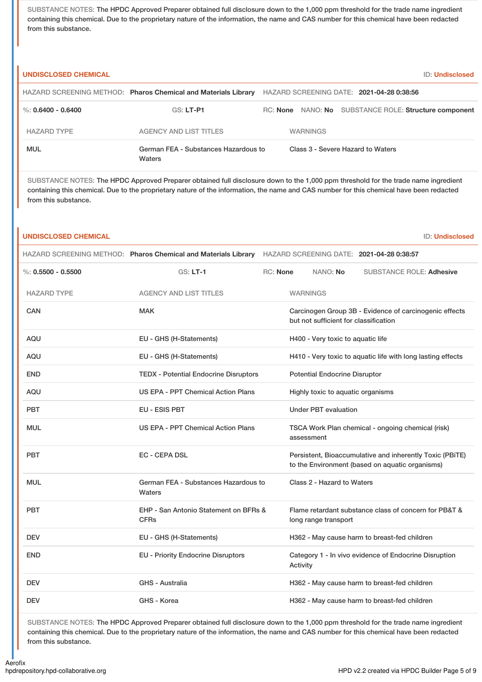SUBSTANCE NOTES: The HPDC Approved Preparer obtained full disclosure down to the 1,000 ppm threshold for the trade name ingredient containing this chemical. Due to the proprietary nature of the information, the name and CAS number for this chemical have been redacted from this substance.

| <b>UNDISCLOSED CHEMICAL</b> |                                                                | <b>ID: Undisclosed</b>                                                                                                                                                                                                                                                         |
|-----------------------------|----------------------------------------------------------------|--------------------------------------------------------------------------------------------------------------------------------------------------------------------------------------------------------------------------------------------------------------------------------|
|                             | HAZARD SCREENING METHOD: Pharos Chemical and Materials Library | HAZARD SCREENING DATE: 2021-04-28 0:38:56                                                                                                                                                                                                                                      |
| %: $0.6400 - 0.6400$        | GS: LT-P1                                                      | RC: None NANO: No SUBSTANCE ROLE: Structure component                                                                                                                                                                                                                          |
| <b>HAZARD TYPE</b>          | <b>AGENCY AND LIST TITLES</b>                                  | <b>WARNINGS</b>                                                                                                                                                                                                                                                                |
| <b>MUL</b>                  | German FEA - Substances Hazardous to<br>Waters                 | Class 3 - Severe Hazard to Waters                                                                                                                                                                                                                                              |
| from this substance.        |                                                                | SUBSTANCE NOTES: The HPDC Approved Preparer obtained full disclosure down to the 1,000 ppm threshold for the trade name ingredient<br>containing this chemical. Due to the proprietary nature of the information, the name and CAS number for this chemical have been redacted |
| <b>UNDISCLOSED CHEMICAL</b> |                                                                | <b>ID: Undisclosed</b>                                                                                                                                                                                                                                                         |
|                             | HAZARD SCREENING METHOD: Pharos Chemical and Materials Library | HAZARD SCREENING DATE: 2021-04-28 0:38:57                                                                                                                                                                                                                                      |
| $\%: 0.5500 - 0.5500$       | <b>GS: LT-1</b>                                                | RC: None<br>NANO: No<br><b>SUBSTANCE ROLE: Adhesive</b>                                                                                                                                                                                                                        |
| <b>HAZARD TYPE</b>          | <b>AGENCY AND LIST TITLES</b>                                  | <b>WARNINGS</b>                                                                                                                                                                                                                                                                |
| <b>CAN</b>                  | <b>MAK</b>                                                     | Carcinogen Group 3B - Evidence of carcinogenic effects<br>but not sufficient for classification                                                                                                                                                                                |
| AQU                         | EU - GHS (H-Statements)                                        | H400 - Very toxic to aquatic life                                                                                                                                                                                                                                              |
| AQU                         | EU - GHS (H-Statements)                                        | H410 - Very toxic to aquatic life with long lasting effects                                                                                                                                                                                                                    |
| <b>END</b>                  | <b>TEDX - Potential Endocrine Disruptors</b>                   | <b>Potential Endocrine Disruptor</b>                                                                                                                                                                                                                                           |
| AQU                         | US EPA - PPT Chemical Action Plans                             | Highly toxic to aquatic organisms                                                                                                                                                                                                                                              |
| <b>PBT</b>                  | EU - ESIS PBT                                                  | <b>Under PBT evaluation</b>                                                                                                                                                                                                                                                    |
| <b>MUL</b>                  | <b>US EPA - PPT Chemical Action Plans</b>                      | TSCA Work Plan chemical - ongoing chemical (risk)<br>assessment                                                                                                                                                                                                                |
| PBT                         | EC - CEPA DSL                                                  | Persistent, Bioaccumulative and inherently Toxic (PBiTE)<br>to the Environment (based on aquatic organisms)                                                                                                                                                                    |
| <b>MUL</b>                  | German FEA - Substances Hazardous to<br>Waters                 | Class 2 - Hazard to Waters                                                                                                                                                                                                                                                     |
| <b>PBT</b>                  | EHP - San Antonio Statement on BFRs &<br><b>CFRs</b>           | Flame retardant substance class of concern for PB&T &<br>long range transport                                                                                                                                                                                                  |
| <b>DEV</b>                  | EU - GHS (H-Statements)                                        | H362 - May cause harm to breast-fed children                                                                                                                                                                                                                                   |
| <b>END</b>                  | <b>EU - Priority Endocrine Disruptors</b>                      | Category 1 - In vivo evidence of Endocrine Disruption<br>Activity                                                                                                                                                                                                              |
| <b>DEV</b>                  | <b>GHS - Australia</b>                                         | H362 - May cause harm to breast-fed children                                                                                                                                                                                                                                   |
| <b>DEV</b>                  | GHS - Korea                                                    | H362 - May cause harm to breast-fed children                                                                                                                                                                                                                                   |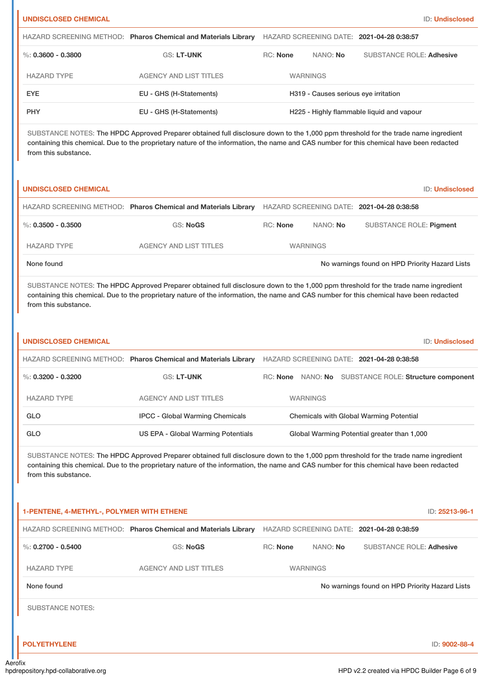| <b>UNDISCLOSED CHEMICAL</b>               |                                                                                                                                                                                                                                                                                |                 |                                      |                                             | <b>ID: Undisclosed</b>                                |
|-------------------------------------------|--------------------------------------------------------------------------------------------------------------------------------------------------------------------------------------------------------------------------------------------------------------------------------|-----------------|--------------------------------------|---------------------------------------------|-------------------------------------------------------|
|                                           | HAZARD SCREENING METHOD: Pharos Chemical and Materials Library                                                                                                                                                                                                                 |                 |                                      | HAZARD SCREENING DATE: 2021-04-28 0:38:57   |                                                       |
| $\%$ : 0.3600 - 0.3800                    | GS: LT-UNK                                                                                                                                                                                                                                                                     | <b>RC: None</b> | NANO: No                             |                                             | <b>SUBSTANCE ROLE: Adhesive</b>                       |
| <b>HAZARD TYPE</b>                        | <b>AGENCY AND LIST TITLES</b>                                                                                                                                                                                                                                                  |                 | <b>WARNINGS</b>                      |                                             |                                                       |
| <b>EYE</b>                                | EU - GHS (H-Statements)                                                                                                                                                                                                                                                        |                 | H319 - Causes serious eye irritation |                                             |                                                       |
| <b>PHY</b>                                | EU - GHS (H-Statements)                                                                                                                                                                                                                                                        |                 |                                      | H225 - Highly flammable liquid and vapour   |                                                       |
| from this substance.                      | SUBSTANCE NOTES: The HPDC Approved Preparer obtained full disclosure down to the 1,000 ppm threshold for the trade name ingredient<br>containing this chemical. Due to the proprietary nature of the information, the name and CAS number for this chemical have been redacted |                 |                                      |                                             |                                                       |
| <b>UNDISCLOSED CHEMICAL</b>               |                                                                                                                                                                                                                                                                                |                 |                                      |                                             | <b>ID: Undisclosed</b>                                |
|                                           | HAZARD SCREENING METHOD: Pharos Chemical and Materials Library                                                                                                                                                                                                                 |                 |                                      | HAZARD SCREENING DATE: 2021-04-28 0:38:58   |                                                       |
| $\%$ : 0.3500 - 0.3500                    | GS: NoGS                                                                                                                                                                                                                                                                       | <b>RC: None</b> | NANO: No                             |                                             | <b>SUBSTANCE ROLE: Pigment</b>                        |
| <b>HAZARD TYPE</b>                        | <b>AGENCY AND LIST TITLES</b>                                                                                                                                                                                                                                                  |                 | <b>WARNINGS</b>                      |                                             |                                                       |
| None found                                |                                                                                                                                                                                                                                                                                |                 |                                      |                                             | No warnings found on HPD Priority Hazard Lists        |
| from this substance.                      | SUBSTANCE NOTES: The HPDC Approved Preparer obtained full disclosure down to the 1,000 ppm threshold for the trade name ingredient<br>containing this chemical. Due to the proprietary nature of the information, the name and CAS number for this chemical have been redacted |                 |                                      |                                             |                                                       |
| <b>UNDISCLOSED CHEMICAL</b>               |                                                                                                                                                                                                                                                                                |                 |                                      |                                             | <b>ID: Undisclosed</b>                                |
|                                           | HAZARD SCREENING METHOD: Pharos Chemical and Materials Library                                                                                                                                                                                                                 |                 |                                      | HAZARD SCREENING DATE: 2021-04-28 0:38:58   |                                                       |
| %: $0.3200 - 0.3200$                      | <b>GS: LT-UNK</b>                                                                                                                                                                                                                                                              |                 |                                      |                                             | RC: None NANO: No SUBSTANCE ROLE: Structure component |
| <b>HAZARD TYPE</b>                        | <b>AGENCY AND LIST TITLES</b>                                                                                                                                                                                                                                                  |                 | <b>WARNINGS</b>                      |                                             |                                                       |
| GLO                                       | <b>IPCC - Global Warming Chemicals</b>                                                                                                                                                                                                                                         |                 |                                      | Chemicals with Global Warming Potential     |                                                       |
| <b>GLO</b>                                | <b>US EPA - Global Warming Potentials</b>                                                                                                                                                                                                                                      |                 |                                      | Global Warming Potential greater than 1,000 |                                                       |
| from this substance.                      | SUBSTANCE NOTES: The HPDC Approved Preparer obtained full disclosure down to the 1,000 ppm threshold for the trade name ingredient<br>containing this chemical. Due to the proprietary nature of the information, the name and CAS number for this chemical have been redacted |                 |                                      |                                             |                                                       |
| 1-PENTENE, 4-METHYL-, POLYMER WITH ETHENE |                                                                                                                                                                                                                                                                                |                 |                                      |                                             | ID: 25213-96-1                                        |
|                                           | HAZARD SCREENING METHOD: Pharos Chemical and Materials Library                                                                                                                                                                                                                 |                 |                                      | HAZARD SCREENING DATE: 2021-04-28 0:38:59   |                                                       |
| %: $0.2700 - 0.5400$                      | <b>GS: NoGS</b>                                                                                                                                                                                                                                                                | <b>RC: None</b> | NANO: No                             |                                             | <b>SUBSTANCE ROLE: Adhesive</b>                       |

None found Now arrings found on HPD Priority Hazard Lists

SUBSTANCE NOTES:

HAZARD TYPE AGENCY AND LIST TITLES WARNINGS

**POLYETHYLENE** ID: **9002-88-4**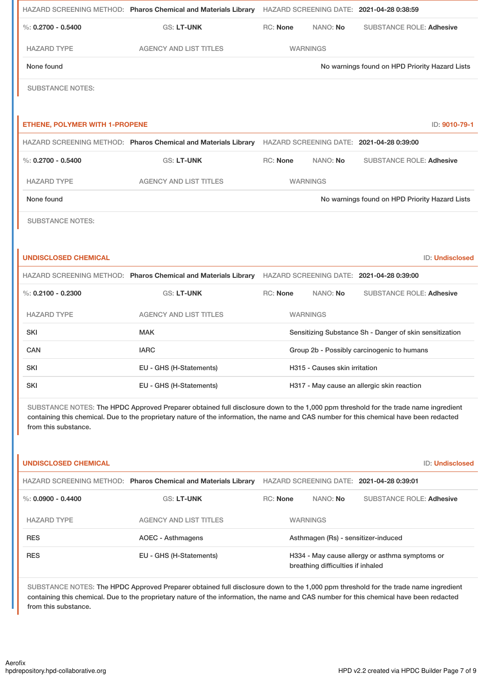|                                       | HAZARD SCREENING METHOD: Pharos Chemical and Materials Library |                 |                 | HAZARD SCREENING DATE: 2021-04-28 0:38:59      |
|---------------------------------------|----------------------------------------------------------------|-----------------|-----------------|------------------------------------------------|
| %: $0.2700 - 0.5400$                  | <b>GS: LT-UNK</b>                                              | <b>RC: None</b> | NANO: No        | <b>SUBSTANCE ROLE: Adhesive</b>                |
| <b>HAZARD TYPE</b>                    | <b>AGENCY AND LIST TITLES</b>                                  |                 | <b>WARNINGS</b> |                                                |
| None found                            |                                                                |                 |                 | No warnings found on HPD Priority Hazard Lists |
| <b>SUBSTANCE NOTES:</b>               |                                                                |                 |                 |                                                |
|                                       |                                                                |                 |                 |                                                |
|                                       |                                                                |                 |                 |                                                |
| <b>ETHENE, POLYMER WITH 1-PROPENE</b> |                                                                |                 |                 | ID: 9010-79-1                                  |
|                                       | HAZARD SCREENING METHOD: Pharos Chemical and Materials Library |                 |                 | HAZARD SCREENING DATE: 2021-04-28 0:39:00      |
| $\%$ : 0.2700 - 0.5400                | <b>GS: LT-UNK</b>                                              | RC: None        | NANO: No        | <b>SUBSTANCE ROLE: Adhesive</b>                |
| <b>HAZARD TYPE</b>                    | <b>AGENCY AND LIST TITLES</b>                                  |                 | <b>WARNINGS</b> |                                                |
| None found                            |                                                                |                 |                 | No warnings found on HPD Priority Hazard Lists |

# **UNDISCLOSED CHEMICAL** ID: **Undisclosed**

|                        | HAZARD SCREENING METHOD: Pharos Chemical and Materials Library |                                                         |                 | HAZARD SCREENING DATE: 2021-04-28 0:39:00  |
|------------------------|----------------------------------------------------------------|---------------------------------------------------------|-----------------|--------------------------------------------|
| $\%$ : 0.2100 - 0.2300 | <b>GS: LT-UNK</b>                                              | <b>RC:</b> None                                         | NANO: <b>No</b> | <b>SUBSTANCE ROLE: Adhesive</b>            |
| <b>HAZARD TYPE</b>     | <b>AGENCY AND LIST TITLES</b>                                  |                                                         | <b>WARNINGS</b> |                                            |
| <b>SKI</b>             | <b>MAK</b>                                                     | Sensitizing Substance Sh - Danger of skin sensitization |                 |                                            |
| CAN                    | <b>IARC</b>                                                    | Group 2b - Possibly carcinogenic to humans              |                 |                                            |
| <b>SKI</b>             | EU - GHS (H-Statements)                                        | H315 - Causes skin irritation                           |                 |                                            |
| <b>SKI</b>             | EU - GHS (H-Statements)                                        |                                                         |                 | H317 - May cause an allergic skin reaction |

SUBSTANCE NOTES: The HPDC Approved Preparer obtained full disclosure down to the 1,000 ppm threshold for the trade name ingredient containing this chemical. Due to the proprietary nature of the information, the name and CAS number for this chemical have been redacted from this substance.

| <b>UNDISCLOSED CHEMICAL</b> |                                                                |                 |                                     | <b>ID: Undisclosed</b>                         |
|-----------------------------|----------------------------------------------------------------|-----------------|-------------------------------------|------------------------------------------------|
|                             | HAZARD SCREENING METHOD: Pharos Chemical and Materials Library |                 |                                     | HAZARD SCREENING DATE: 2021-04-28 0:39:01      |
| %: $0.0900 - 0.4400$        | <b>GS: LT-UNK</b>                                              | <b>RC: None</b> | NANO: No                            | <b>SUBSTANCE ROLE: Adhesive</b>                |
| <b>HAZARD TYPE</b>          | AGENCY AND LIST TITLES                                         |                 | <b>WARNINGS</b>                     |                                                |
| <b>RES</b>                  | <b>AOEC - Asthmagens</b>                                       |                 | Asthmagen (Rs) - sensitizer-induced |                                                |
| <b>RES</b>                  | EU - GHS (H-Statements)                                        |                 | breathing difficulties if inhaled   | H334 - May cause allergy or asthma symptoms or |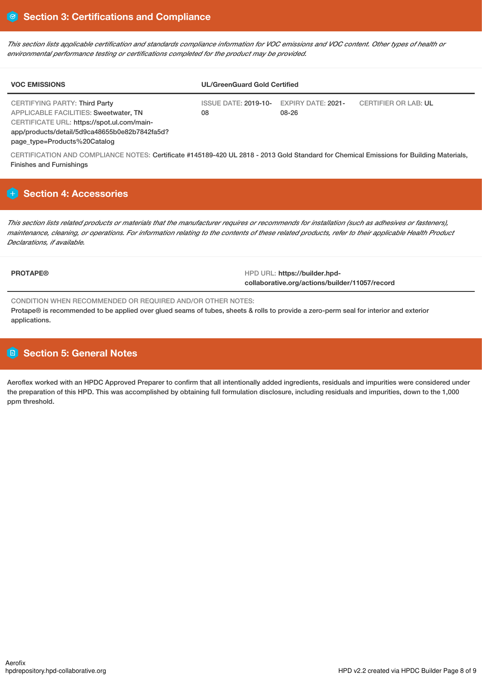This section lists applicable certification and standards compliance information for VOC emissions and VOC content. Other types of health or *environmental performance testing or certifications completed for the product may be provided.*

| <b>VOC EMISSIONS</b>                                                                                                 | <b>UL/GreenGuard Gold Certified</b>           |       |                             |
|----------------------------------------------------------------------------------------------------------------------|-----------------------------------------------|-------|-----------------------------|
| CERTIFYING PARTY: Third Party<br>APPLICABLE FACILITIES: Sweetwater, TN<br>CERTIFICATE URL: https://spot.ul.com/main- | ISSUE DATE: 2019-10- EXPIRY DATE: 2021-<br>08 | 08-26 | <b>CERTIFIER OR LAB: UL</b> |
| app/products/detail/5d9ca48655b0e82b7842fa5d?<br>page_type=Products%20Catalog                                        |                                               |       |                             |

CERTIFICATION AND COMPLIANCE NOTES: Certificate #145189-420 UL 2818 - 2013 Gold Standard for Chemical Emissions for Building Materials, Finishes and Furnishings

# **Section 4: Accessories**

This section lists related products or materials that the manufacturer requires or recommends for installation (such as adhesives or fasteners), maintenance, cleaning, or operations. For information relating to the contents of these related products, refer to their applicable Health Product *Declarations, if available.*

**PROTAPE®** HPD URL: **https://builder.hpdcollaborative.org/actions/builder/11057/record**

CONDITION WHEN RECOMMENDED OR REQUIRED AND/OR OTHER NOTES:

Protape® is recommended to be applied over glued seams of tubes, sheets & rolls to provide a zero-perm seal for interior and exterior applications.

# **Section 5: General Notes**

Aeroflex worked with an HPDC Approved Preparer to confirm that all intentionally added ingredients, residuals and impurities were considered under the preparation of this HPD. This was accomplished by obtaining full formulation disclosure, including residuals and impurities, down to the 1,000 ppm threshold.